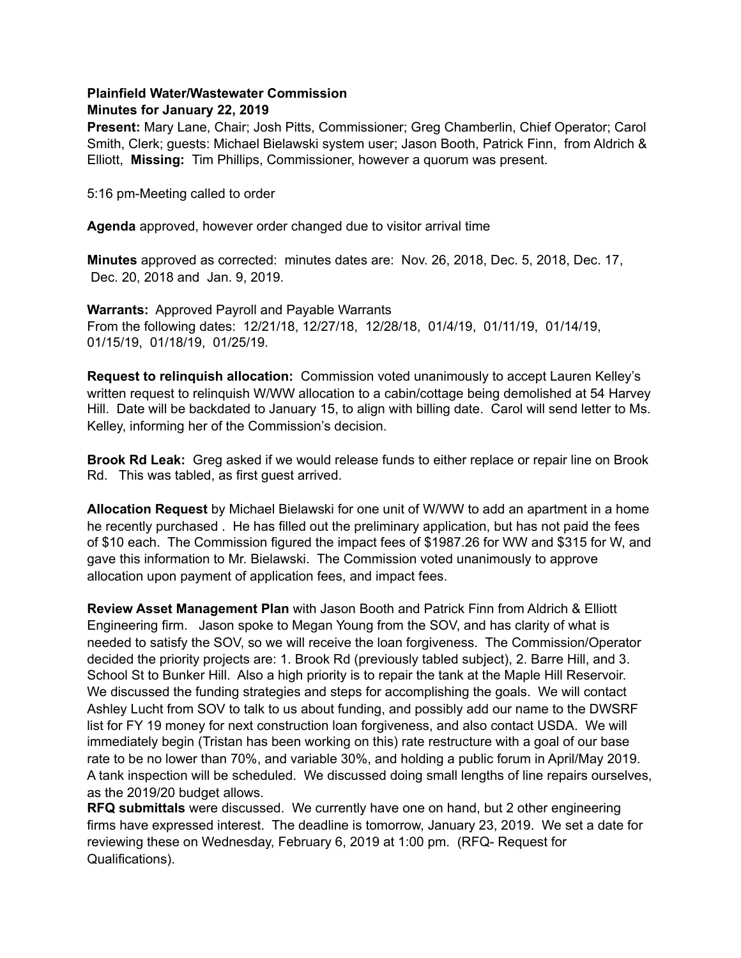## **Plainfield Water/Wastewater Commission Minutes for January 22, 2019**

**Present:** Mary Lane, Chair; Josh Pitts, Commissioner; Greg Chamberlin, Chief Operator; Carol Smith, Clerk; guests: Michael Bielawski system user; Jason Booth, Patrick Finn, from Aldrich & Elliott, **Missing:** Tim Phillips, Commissioner, however a quorum was present.

5:16 pm-Meeting called to order

**Agenda** approved, however order changed due to visitor arrival time

**Minutes** approved as corrected: minutes dates are: Nov. 26, 2018, Dec. 5, 2018, Dec. 17, Dec. 20, 2018 and Jan. 9, 2019.

**Warrants:** Approved Payroll and Payable Warrants From the following dates: 12/21/18, 12/27/18, 12/28/18, 01/4/19, 01/11/19, 01/14/19, 01/15/19, 01/18/19, 01/25/19.

**Request to relinquish allocation:** Commission voted unanimously to accept Lauren Kelley's written request to relinquish W/WW allocation to a cabin/cottage being demolished at 54 Harvey Hill. Date will be backdated to January 15, to align with billing date. Carol will send letter to Ms. Kelley, informing her of the Commission's decision.

**Brook Rd Leak:** Greg asked if we would release funds to either replace or repair line on Brook Rd. This was tabled, as first guest arrived.

**Allocation Request** by Michael Bielawski for one unit of W/WW to add an apartment in a home he recently purchased . He has filled out the preliminary application, but has not paid the fees of \$10 each. The Commission figured the impact fees of \$1987.26 for WW and \$315 for W, and gave this information to Mr. Bielawski. The Commission voted unanimously to approve allocation upon payment of application fees, and impact fees.

**Review Asset Management Plan** with Jason Booth and Patrick Finn from Aldrich & Elliott Engineering firm. Jason spoke to Megan Young from the SOV, and has clarity of what is needed to satisfy the SOV, so we will receive the loan forgiveness. The Commission/Operator decided the priority projects are: 1. Brook Rd (previously tabled subject), 2. Barre Hill, and 3. School St to Bunker Hill. Also a high priority is to repair the tank at the Maple Hill Reservoir. We discussed the funding strategies and steps for accomplishing the goals. We will contact Ashley Lucht from SOV to talk to us about funding, and possibly add our name to the DWSRF list for FY 19 money for next construction loan forgiveness, and also contact USDA. We will immediately begin (Tristan has been working on this) rate restructure with a goal of our base rate to be no lower than 70%, and variable 30%, and holding a public forum in April/May 2019. A tank inspection will be scheduled. We discussed doing small lengths of line repairs ourselves, as the 2019/20 budget allows.

**RFQ submittals** were discussed. We currently have one on hand, but 2 other engineering firms have expressed interest. The deadline is tomorrow, January 23, 2019. We set a date for reviewing these on Wednesday, February 6, 2019 at 1:00 pm. (RFQ- Request for Qualifications).